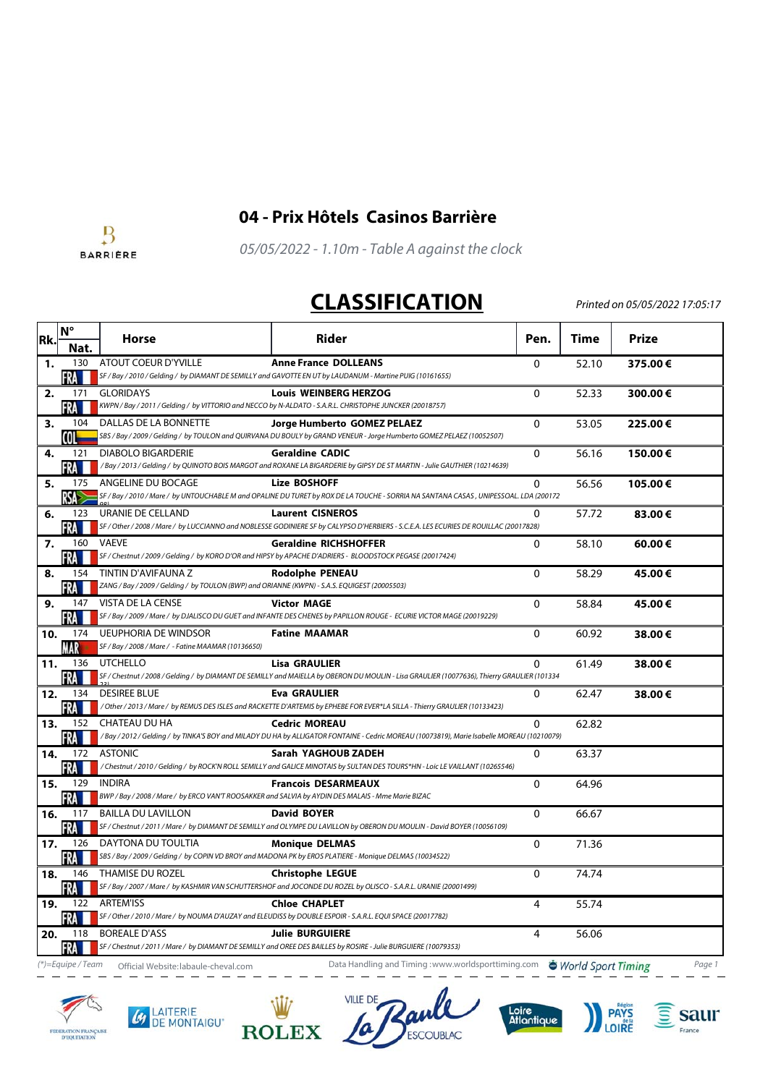

## $\overline{B}$ **BARRIERE**

**04 - Prix Hôtels Casinos Barrière**

05/05/2022 - 1.10m - Table A against the clock

## **CLASSIFICATION**

Printed on 05/05/2022 17:05:17

| Rk. | $N^{\circ}$          | <b>Horse</b>                                                                                                         | <b>Rider</b>                                                                                                                                                        | Pen.           | Time  | <b>Prize</b> |
|-----|----------------------|----------------------------------------------------------------------------------------------------------------------|---------------------------------------------------------------------------------------------------------------------------------------------------------------------|----------------|-------|--------------|
|     | Nat.                 |                                                                                                                      |                                                                                                                                                                     |                |       |              |
| 1.  | 130<br>FRA           | ATOUT COEUR D'YVILLE                                                                                                 | <b>Anne France DOLLEANS</b><br>SF / Bay / 2010 / Gelding / by DIAMANT DE SEMILLY and GAVOTTE EN UT by LAUDANUM - Martine PUIG (10161655)                            | 0              | 52.10 | 375.00€      |
| 2.  | 171<br>FRA           | <b>GLORIDAYS</b>                                                                                                     | <b>Louis WEINBERG HERZOG</b><br>KWPN / Bay / 2011 / Gelding / by VITTORIO and NECCO by N-ALDATO - S.A.R.L. CHRISTOPHE JUNCKER (20018757)                            | $\mathbf 0$    | 52.33 | 300.00€      |
| 3.  | 104<br>COL           | DALLAS DE LA BONNETTE                                                                                                | Jorge Humberto GOMEZ PELAEZ<br>SBS / Bay / 2009 / Gelding / by TOULON and QUIRVANA DU BOULY by GRAND VENEUR - Jorge Humberto GOMEZ PELAEZ (10052507)                | $\Omega$       | 53.05 | 225.00€      |
| 4.  | 121<br>-RA           | <b>DIABOLO BIGARDERIE</b>                                                                                            | <b>Geraldine CADIC</b><br>/Bay / 2013 / Gelding / by QUINOTO BOIS MARGOT and ROXANE LA BIGARDERIE by GIPSY DE ST MARTIN - Julie GAUTHIER (10214639)                 | 0              | 56.16 | 150.00€      |
| 5.  | 175<br>RSA           | ANGELINE DU BOCAGE                                                                                                   | <b>Lize BOSHOFF</b><br>SF / Bay / 2010 / Mare / by UNTOUCHABLE M and OPALINE DU TURET by ROX DE LA TOUCHE - SORRIA NA SANTANA CASAS , UNIPESSOAL. LDA (200172       | $\mathbf{0}$   | 56.56 | 105.00€      |
| 6.  | 123<br><b>FRAME</b>  | URANIE DE CELLAND                                                                                                    | <b>Laurent CISNEROS</b><br>SF / Other / 2008 / Mare / by LUCCIANNO and NOBLESSE GODINIERE SF by CALYPSO D'HERBIERS - S.C.E.A. LES ECURIES DE ROUILLAC (20017828)    | 0              | 57.72 | 83.00€       |
| 7.  | 160<br><b>FRAME</b>  | <b>VAEVE</b>                                                                                                         | <b>Geraldine RICHSHOFFER</b><br>SF / Chestnut / 2009 / Gelding / by KORO D'OR and HIPSY by APACHE D'ADRIERS - BLOODSTOCK PEGASE (20017424)                          | 0              | 58.10 | 60.00€       |
| 8.  | 154<br>FRA           | TINTIN D'AVIFAUNA Z<br>ZANG / Bay / 2009 / Gelding / by TOULON (BWP) and ORIANNE (KWPN) - S.A.S. EQUIGEST (20005503) | <b>Rodolphe PENEAU</b>                                                                                                                                              | $\Omega$       | 58.29 | 45.00€       |
| 9.  | 147<br>FRA           | VISTA DE LA CENSE                                                                                                    | <b>Victor MAGE</b><br>SF / Bay / 2009 / Mare / by DJALISCO DU GUET and INFANTE DES CHENES by PAPILLON ROUGE - ECURIE VICTOR MAGE (20019229)                         | $\mathbf{0}$   | 58.84 | 45.00€       |
| 10. | 174<br>MAR           | <b>UEUPHORIA DE WINDSOR</b><br>SF / Bay / 2008 / Mare / - Fatine MAAMAR (10136650)                                   | <b>Fatine MAAMAR</b>                                                                                                                                                | $\mathbf 0$    | 60.92 | 38.00€       |
| 11. | 136<br>FRA           | UTCHELLO                                                                                                             | <b>Lisa GRAULIER</b><br>SF / Chestnut / 2008 / Gelding / by DIAMANT DE SEMILLY and MAIELLA by OBERON DU MOULIN - Lisa GRAULIER (10077636), Thierry GRAULIER (101334 | $\mathbf{0}$   | 61.49 | 38.00€       |
| 12. | 134<br>FRA           | <b>DESIREE BLUE</b>                                                                                                  | <b>Eva GRAULIER</b><br>/ Other / 2013 / Mare / by REMUS DES ISLES and RACKETTE D'ARTEMIS by EPHEBE FOR EVER*LA SILLA - Thierry GRAULIER (10133423)                  | 0              | 62.47 | 38.00€       |
| 13. | 152<br>FRA           | CHATEAU DU HA                                                                                                        | <b>Cedric MOREAU</b><br>/Bay / 2012 / Gelding / by TINKA'S BOY and MILADY DU HA by ALLIGATOR FONTAINE - Cedric MOREAU (10073819), Marie Isabelle MOREAU (10210079)  | $\Omega$       | 62.82 |              |
| 14. | 172<br>FRA           | <b>ASTONIC</b>                                                                                                       | Sarah YAGHOUB ZADEH<br>/Chestnut/2010/Gelding/by ROCK'N ROLL SEMILLY and GALICE MINOTAIS by SULTAN DES TOURS*HN - Loic LE VAILLANT (10265546)                       | $\mathbf{0}$   | 63.37 |              |
| 15. | 129<br>FRA I         | <b>INDIRA</b><br>BWP / Bay / 2008 / Mare / by ERCO VAN'T ROOSAKKER and SALVIA by AYDIN DES MALAIS - Mme Marie BIZAC  | <b>Francois DESARMEAUX</b>                                                                                                                                          | 0              | 64.96 |              |
| 16. | 117<br>FRA <b>II</b> | <b>BAILLA DU LAVILLON</b>                                                                                            | <b>David BOYER</b><br>SF / Chestnut / 2011 / Mare / by DIAMANT DE SEMILLY and OLYMPE DU LAVILLON by OBERON DU MOULIN - David BOYER (10056109)                       | $\mathbf{0}$   | 66.67 |              |
| 17. | 126<br><b>FRA</b>    | DAYTONA DU TOULTIA                                                                                                   | <b>Monique DELMAS</b><br>SBS / Bay / 2009 / Gelding / by COPIN VD BROY and MADONA PK by EROS PLATIERE - Monique DELMAS (10034522)                                   | $\mathbf 0$    | 71.36 |              |
| 18. | 146<br>FRA           | THAMISE DU ROZEL                                                                                                     | <b>Christophe LEGUE</b><br>SF / Bay / 2007 / Mare / by KASHMIR VAN SCHUTTERSHOF and JOCONDE DU ROZEL by OLISCO - S.A.R.L. URANIE (20001499)                         | $\mathbf{0}$   | 74.74 |              |
| 19. | 122<br>FRA           | <b>ARTEM'ISS</b>                                                                                                     | <b>Chloe CHAPLET</b><br>SF / Other / 2010 / Mare / by NOUMA D'AUZAY and ELEUDISS by DOUBLE ESPOIR - S.A.R.L. EQUI SPACE (20017782)                                  | 4              | 55.74 |              |
| 20. | 118<br>FRA <b>H</b>  | <b>BOREALE D'ASS</b>                                                                                                 | <b>Julie BURGUIERE</b><br>SF / Chestnut / 2011 / Mare / by DIAMANT DE SEMILLY and OREE DES BAILLES by ROSIRE - Julie BURGUIERE (10079353)                           | $\overline{4}$ | 56.06 |              |

(\*)=Equipe / Team Official Website: labaule-cheval.com Data Handling and Timing :www.worldsporttiming.com World Sport Timing Page 1